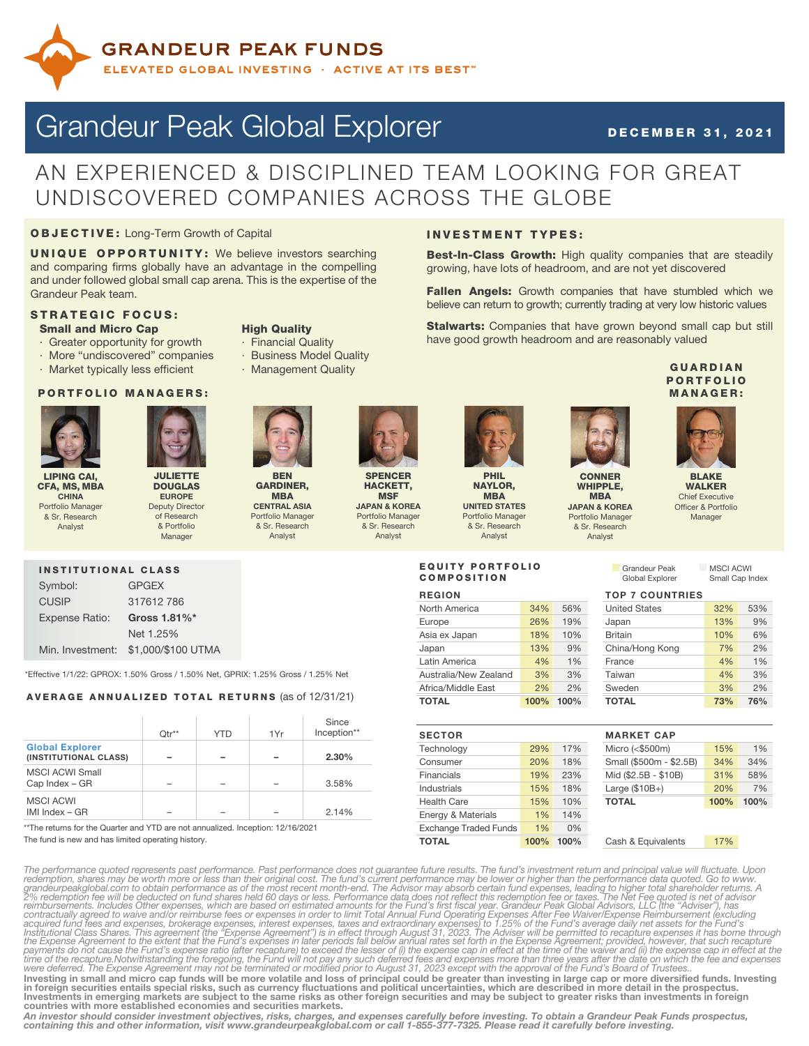

# Grandeur Peak Global Explorer DECEMBER 31, 2021

# AN EXPERIENCED & DISCIPLINED TEAM LOOKING FOR GREAT UNDISCOVERED COMPANIES ACROSS THE GLOBE

## OBJECTIVE: Long-Term Growth of Capital

UNIQUE OPPORTUNITY: We believe investors searching and comparing firms globally have an advantage in the compelling and under followed global small cap arena. This is the expertise of the Grandeur Peak team.

### STRATEGIC FOCUS: **Small and Micro Cap High Quality**

- 
- Greater opportunity for growth · Financial Quality
- 
- · Market typically less efficient Management Quality

INSTITUTIONAL CLASS Symbol: GPGEX CUSIP 317612 786 Expense Ratio: Gross 1.81%\*

### PORTFOLIO MANAGERS:





LIPING CAI, CFA, MS, MBA CHINA Portfolio Manager & Sr. Research Analyst

Global Explorer

MSCI ACWI Small

MSCI ACWI

DOUGLAS EUROPE Deputy Director of Research & Portfolio **Manager** 

Net 1.25%

Min. Investment: \$1,000/\$100 UTMA

AVERAGE ANNUALIZED TOTAL RETURNS (as of 12/31/21)

\*Effective 1/1/22: GPROX: 1.50% Gross / 1.50% Net, GPRIX: 1.25% Gross / 1.25% Net

 $(INSTITUTIONAL CLASS)$   $2.30\%$ 

Cap Index – GR – – – – – 3.58%

 $IMI Index - GR$  – – – – 2.14% \*\*The returns for the Quarter and YTD are not annualized. Inception: 12/16/2021

Qtr<sup>\*\*</sup> | YTD | 1Yr

- More "undiscovered" companies · Business Model Quality
	-



SPENCER HACKETT, **MSF** JAPAN & KOREA Portfolio Manager & Sr. Research

Analyst

Since Inception\*\*



NAYLOR, MBA UNITED STATES Portfolio Manager & Sr. Research Analyst

INVESTMENT TYPES:



Best-In-Class Growth: High quality companies that are steadily

Fallen Angels: Growth companies that have stumbled which we believe can return to growth; currently trading at very low historic values Stalwarts: Companies that have grown beyond small cap but still

growing, have lots of headroom, and are not yet discovered

have good growth headroom and are reasonably valued

MBA



WHIPPLE, JAPAN & KOREA Portfolio Manager & Sr. Research Analyst

# MANAGER:

**GUARDIAN PORTFOLIO** 



BLAKE WALKER Chief Executive Officer & Portfolio Manager

Small Cap Index

n Grandeur Peak MSCI ACWI<br>Global Explorer Small Cap I

## EQUITY PORTFOLIO COMPOSITION

| <b>REGION</b>         |      | <b>TOP 7 COUNTRIES</b> |                      |     |     |
|-----------------------|------|------------------------|----------------------|-----|-----|
| North America         | 34%  | 56%                    | <b>United States</b> | 32% | 53% |
| Europe                | 26%  | 19%                    | Japan                | 13% | 9%  |
| Asia ex Japan         | 18%  | 10%                    | <b>Britain</b>       | 10% | 6%  |
| Japan                 | 13%  | 9%                     | China/Hong Kong      | 7%  | 2%  |
| Latin America         | 4%   | 1%                     | France               | 4%  | 1%  |
| Australia/New Zealand | 3%   | 3%                     | Taiwan               | 4%  | 3%  |
| Africa/Middle East    | 2%   | 2%                     | Sweden               | 3%  | 2%  |
| <b>TOTAL</b>          | 100% | 100%                   | TOTAL                | 73% | 76% |

|      |      | <b>MARKET CAP</b>  |
|------|------|--------------------|
| 29%  | 17%  | Micro (<\$500m)    |
| 20%  | 18%  | Small (\$500m - \$ |
| 19%  | 23%  | Mid (\$2.5B - \$10 |
| 15%  | 18%  | Large $($10B+)$    |
| 15%  | 10%  | <b>TOTAL</b>       |
| 1%   | 14%  |                    |
| 1%   | 0%   |                    |
| 100% | 100% | Cash & Equivaler   |
|      |      |                    |

| <b>MARKET CAP</b>       |      |      |
|-------------------------|------|------|
| Viicro (<\$500m)        | 15%  | 1%   |
| Small (\$500m - \$2.5B) | 34%  | 34%  |
| Viid (\$2.5B - \$10B)   | 31%  | 58%  |
| $angle($ \$10B+)        | 20%  | 7%   |
| <b>TOTAL</b>            | 100% | 100% |
|                         |      |      |
|                         |      |      |

The fund is new and has limited operating history.

Technology 29% 17% Micro (<\$500m) 15% 1% Consumer 20% 18% Small (\$500m - \$2.5B) 34% 34% Financials 19% 23% Mid (\$2.5B - \$10B) 31% 58% Industrials 15% 18% Large (\$10B+) 20% 7% Health Care **15% 10% TOTAL 100% 100%** 

Cash & Equivalents 17%

The performance quoted represents past performance. Past performance does not guarantee future results. The fund's investment return and principal value will fluctuate. Upon redemption, shares may be worth more or less tha Investing in small and micro cap funds will be more volatile and loss of principal could be greater than investing in large cap or more diversified funds. Investing

in foreign securities entails special risks, such as currency fluctuations and political uncertainties, which are described in more detail in the prospectus.<br>Investments in emerging markets are subject to the same risks as

An investor should consider investment objectives, risks, charges, and expenses carefully before investing. To obtain a Grandeur Peak Funds prospectus,<br>containing this and other information, visit www.grandeurpeakglobal.co



**BEN**